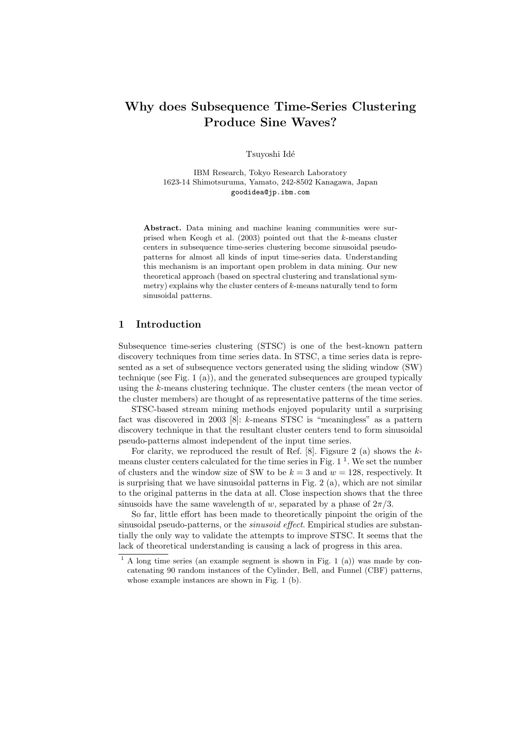# Why does Subsequence Time-Series Clustering Produce Sine Waves?

Tsuyoshi Idé

IBM Research, Tokyo Research Laboratory 1623-14 Shimotsuruma, Yamato, 242-8502 Kanagawa, Japan goodidea@jp.ibm.com

Abstract. Data mining and machine leaning communities were surprised when Keogh et al. (2003) pointed out that the k-means cluster centers in subsequence time-series clustering become sinusoidal pseudopatterns for almost all kinds of input time-series data. Understanding this mechanism is an important open problem in data mining. Our new theoretical approach (based on spectral clustering and translational symmetry) explains why the cluster centers of  $k$ -means naturally tend to form sinusoidal patterns.

# 1 Introduction

Subsequence time-series clustering (STSC) is one of the best-known pattern discovery techniques from time series data. In STSC, a time series data is represented as a set of subsequence vectors generated using the sliding window (SW) technique (see Fig. 1 (a)), and the generated subsequences are grouped typically using the k-means clustering technique. The cluster centers (the mean vector of the cluster members) are thought of as representative patterns of the time series.

STSC-based stream mining methods enjoyed popularity until a surprising fact was discovered in 2003 [8]: k-means STSC is "meaningless" as a pattern discovery technique in that the resultant cluster centers tend to form sinusoidal pseudo-patterns almost independent of the input time series.

For clarity, we reproduced the result of Ref. [8]. Figsure 2 (a) shows the  $k$ means cluster centers calculated for the time series in Fig.  $1<sup>1</sup>$ . We set the number of clusters and the window size of SW to be  $k = 3$  and  $w = 128$ , respectively. It is surprising that we have sinusoidal patterns in Fig. 2 (a), which are not similar to the original patterns in the data at all. Close inspection shows that the three sinusoids have the same wavelength of w, separated by a phase of  $2\pi/3$ .

So far, little effort has been made to theoretically pinpoint the origin of the sinusoidal pseudo-patterns, or the *sinusoid effect*. Empirical studies are substantially the only way to validate the attempts to improve STSC. It seems that the lack of theoretical understanding is causing a lack of progress in this area.

 $1 A$  long time series (an example segment is shown in Fig. 1 (a)) was made by concatenating 90 random instances of the Cylinder, Bell, and Funnel (CBF) patterns, whose example instances are shown in Fig. 1 (b).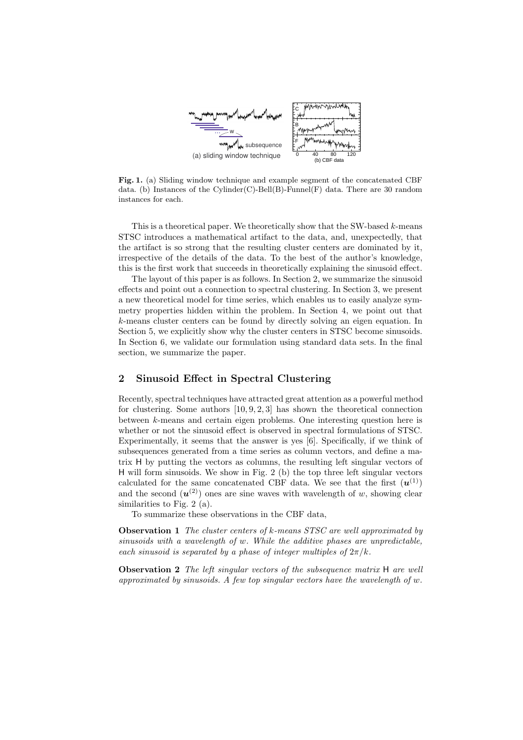

Fig. 1. (a) Sliding window technique and example segment of the concatenated CBF data. (b) Instances of the Cylinder(C)-Bell(B)-Funnel(F) data. There are 30 random instances for each.

This is a theoretical paper. We theoretically show that the SW-based  $k$ -means STSC introduces a mathematical artifact to the data, and, unexpectedly, that the artifact is so strong that the resulting cluster centers are dominated by it, irrespective of the details of the data. To the best of the author's knowledge, this is the first work that succeeds in theoretically explaining the sinusoid effect.

The layout of this paper is as follows. In Section 2, we summarize the sinusoid effects and point out a connection to spectral clustering. In Section 3, we present a new theoretical model for time series, which enables us to easily analyze symmetry properties hidden within the problem. In Section 4, we point out that k-means cluster centers can be found by directly solving an eigen equation. In Section 5, we explicitly show why the cluster centers in STSC become sinusoids. In Section 6, we validate our formulation using standard data sets. In the final section, we summarize the paper.

# 2 Sinusoid Effect in Spectral Clustering

Recently, spectral techniques have attracted great attention as a powerful method for clustering. Some authors  $[10, 9, 2, 3]$  has shown the theoretical connection between k-means and certain eigen problems. One interesting question here is whether or not the sinusoid effect is observed in spectral formulations of STSC. Experimentally, it seems that the answer is yes [6]. Specifically, if we think of subsequences generated from a time series as column vectors, and define a matrix H by putting the vectors as columns, the resulting left singular vectors of H will form sinusoids. We show in Fig. 2 (b) the top three left singular vectors calculated for the same concatenated CBF data. We see that the first  $(u^{(1)})$ and the second  $(u^{(2)})$  ones are sine waves with wavelength of w, showing clear similarities to Fig. 2 (a).

To summarize these observations in the CBF data,

**Observation 1** The cluster centers of k-means STSC are well approximated by sinusoids with a wavelength of w. While the additive phases are unpredictable, each sinusoid is separated by a phase of integer multiples of  $2\pi/k$ .

**Observation 2** The left singular vectors of the subsequence matrix H are well approximated by sinusoids. A few top singular vectors have the wavelength of  $w$ .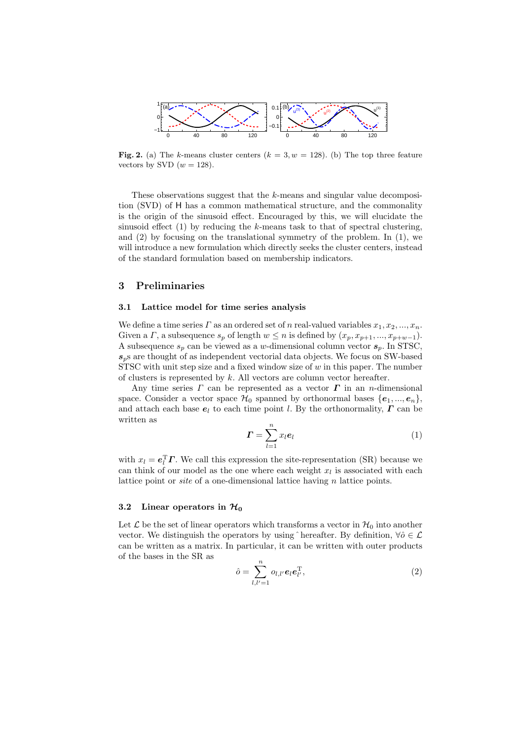

Fig. 2. (a) The k-means cluster centers  $(k = 3, w = 128)$ . (b) The top three feature vectors by SVD  $(w = 128)$ .

These observations suggest that the k-means and singular value decomposition (SVD) of H has a common mathematical structure, and the commonality is the origin of the sinusoid effect. Encouraged by this, we will elucidate the sinusoid effect  $(1)$  by reducing the k-means task to that of spectral clustering, and  $(2)$  by focusing on the translational symmetry of the problem. In  $(1)$ , we will introduce a new formulation which directly seeks the cluster centers, instead of the standard formulation based on membership indicators.

### 3 Preliminaries

#### 3.1 Lattice model for time series analysis

We define a time series  $\Gamma$  as an ordered set of n real-valued variables  $x_1, x_2, ..., x_n$ . Given a  $\Gamma$ , a subsequence  $s_p$  of length  $w \leq n$  is defined by  $(x_p, x_{p+1}, ..., x_{p+w-1})$ . A subsequence  $s_p$  can be viewed as a w-dimensional column vector  $s_p$ . In STSC,  $s_p$ s are thought of as independent vectorial data objects. We focus on SW-based STSC with unit step size and a fixed window size of  $w$  in this paper. The number of clusters is represented by  $k$ . All vectors are column vector hereafter.

Any time series  $\Gamma$  can be represented as a vector  $\Gamma$  in an n-dimensional space. Consider a vector space  $\mathcal{H}_0$  spanned by orthonormal bases  $\{e_1, ..., e_n\}$ , and attach each base  $e_l$  to each time point l. By the orthonormality,  $\Gamma$  can be written as

$$
\boldsymbol{\varGamma} = \sum_{l=1}^{n} x_l \boldsymbol{e}_l \tag{1}
$$

with  $x_l = e_l^{\mathrm{T}} \boldsymbol{\varGamma}$ . We call this expression the site-representation (SR) because we can think of our model as the one where each weight  $x_l$  is associated with each lattice point or *site* of a one-dimensional lattice having n lattice points.

#### 3.2 Linear operators in  $\mathcal{H}_0$

Let  $\mathcal L$  be the set of linear operators which transforms a vector in  $\mathcal H_0$  into another vector. We distinguish the operators by using  $\hat{ }$  hereafter. By definition,  $\forall \hat{o} \in \mathcal{L}$ can be written as a matrix. In particular, it can be written with outer products of the bases in the SR as

$$
\hat{o} = \sum_{l,l'=1}^{n} o_{l,l'} e_l e_{l'}^{\mathrm{T}},\tag{2}
$$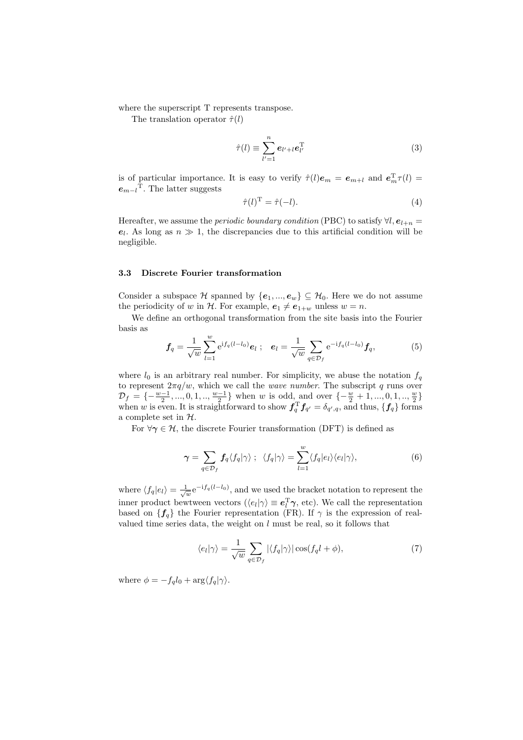where the superscript  $T$  represents transpose.

The translation operator  $\hat{\tau}(l)$ 

$$
\hat{\tau}(l) \equiv \sum_{l'=1}^{n} e_{l'+l} e_{l'}^{\mathrm{T}} \tag{3}
$$

is of particular importance. It is easy to verify  $\hat{\tau}(l)e_m = e_{m+l}$  and  $e_m^T \tau(l) =$  $e_{m-l}$ <sup>T</sup>. The latter suggests

$$
\hat{\tau}(l)^{\mathrm{T}} = \hat{\tau}(-l). \tag{4}
$$

Hereafter, we assume the *periodic boundary condition* (PBC) to satisfy  $\forall l, e_{l+n} =$  $e_l$ . As long as  $n \gg 1$ , the discrepancies due to this artificial condition will be negligible.

### 3.3 Discrete Fourier transformation

Consider a subspace H spanned by  $\{e_1, ..., e_w\} \subseteq H_0$ . Here we do not assume the periodicity of w in H. For example,  $e_1 \neq e_{1+w}$  unless  $w = n$ .

We define an orthogonal transformation from the site basis into the Fourier basis as

$$
\mathbf{f}_q = \frac{1}{\sqrt{w}} \sum_{l=1}^w e^{if_q(l-l_0)} \mathbf{e}_l \; ; \quad \mathbf{e}_l = \frac{1}{\sqrt{w}} \sum_{q \in \mathcal{D}_f} e^{-if_q(l-l_0)} \mathbf{f}_q, \tag{5}
$$

where  $l_0$  is an arbitrary real number. For simplicity, we abuse the notation  $f_q$ to represent  $2\pi q/w$ , which we call the *wave number*. The subscript q runs over  $\mathcal{D}_f = \{-\frac{w-1}{2}, ..., 0, 1, ..., \frac{w-1}{2}\}$  when w is odd, and over  $\{-\frac{w}{2} + 1, ..., 0, 1, ..., \frac{w}{2}\}$ when w is even. It is straightforward to show  $f_q^T f_{q'} = \delta_{q',q}$ , and thus,  $\{f_q\}$  forms a complete set in  $H$ .

For  $\forall \gamma \in \mathcal{H}$ , the discrete Fourier transformation (DFT) is defined as

$$
\gamma = \sum_{q \in \mathcal{D}_f} f_q \langle f_q | \gamma \rangle \; ; \; \; \langle f_q | \gamma \rangle = \sum_{l=1}^w \langle f_q | e_l \rangle \langle e_l | \gamma \rangle, \tag{6}
$$

where  $\langle f_q | e_l \rangle = \frac{1}{\sqrt{w}} e^{-if_q(l-l_0)}$ , and we used the bracket notation to represent the inner product bewtween vectors ( $\langle e_l | \gamma \rangle \equiv e_l^{\rm T} \gamma$ , etc). We call the representation based on  $\{f_q\}$  the Fourier representation (FR). If  $\gamma$  is the expression of realvalued time series data, the weight on  $l$  must be real, so it follows that

$$
\langle e_l | \gamma \rangle = \frac{1}{\sqrt{w}} \sum_{q \in \mathcal{D}_f} |\langle f_q | \gamma \rangle| \cos(f_q l + \phi), \tag{7}
$$

where  $\phi = -f_q l_0 + \arg \langle f_q | \gamma \rangle$ .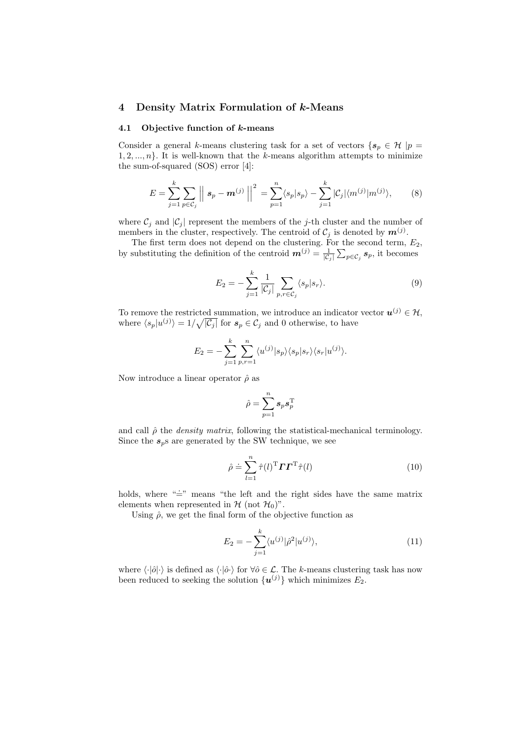### 4 Density Matrix Formulation of k-Means

#### 4.1 Objective function of  $k$ -means

Consider a general k-means clustering task for a set of vectors  $\{s_p \in \mathcal{H} | p = \emptyset\}$  $1, 2, ..., n$ . It is well-known that the k-means algorithm attempts to minimize the sum-of-squared (SOS) error [4]:

$$
E = \sum_{j=1}^{k} \sum_{p \in C_j} \left| \left| s_p - \mathbf{m}^{(j)} \right| \right|^2 = \sum_{p=1}^{n} \langle s_p | s_p \rangle - \sum_{j=1}^{k} |C_j| \langle m^{(j)} | m^{(j)} \rangle, \tag{8}
$$

where  $\mathcal{C}_j$  and  $|\mathcal{C}_j|$  represent the members of the j-th cluster and the number of members in the cluster, respectively. The centroid of  $\mathcal{C}_j$  is denoted by  $\mathbf{m}^{(j)}$ .

The first term does not depend on the clustering. For the second term,  $E_2$ , by substituting the definition of the centroid  $\mathbf{m}^{(j)} = \frac{1}{|\mathcal{C}_j|}$ F և<br>—  $_{p\in\mathcal{C}_j}$   $s_p$ , it becomes

$$
E_2 = -\sum_{j=1}^{k} \frac{1}{|\mathcal{C}_j|} \sum_{p,r \in \mathcal{C}_j} \langle s_p | s_r \rangle.
$$
 (9)

To remove the restricted summation, we introduce an indicator vector  $u^{(j)} \in \mathcal{H}$ , where  $\langle s_p|u^{(j)}\rangle = 1/\sqrt{|\mathcal{C}_j|}$  for  $s_p \in \mathcal{C}_j$  and 0 otherwise, to have

$$
E_2 = -\sum_{j=1}^k \sum_{p,r=1}^n \langle u^{(j)} | s_p \rangle \langle s_p | s_r \rangle \langle s_r | u^{(j)} \rangle.
$$

Now introduce a linear operator  $\hat{\rho}$  as

$$
\hat{\rho} = \sum_{p=1}^n s_p s_p^{\mathrm{T}}
$$

and call  $\hat{\rho}$  the *density matrix*, following the statistical-mechanical terminology. Since the  $s_p$ s are generated by the SW technique, we see

$$
\hat{\rho} \doteq \sum_{l=1}^{n} \hat{\tau}(l)^{\mathrm{T}} \boldsymbol{\varGamma} \boldsymbol{\varGamma}^{\mathrm{T}} \hat{\tau}(l)
$$
\n(10)

holds, where " $\equiv$ " means "the left and the right sides have the same matrix elements when represented in  $\mathcal{H}$  (not  $\mathcal{H}_0$ )".

Using  $\hat{\rho}$ , we get the final form of the objective function as

$$
E_2 = -\sum_{j=1}^{k} \langle u^{(j)} | \hat{\rho}^2 | u^{(j)} \rangle, \tag{11}
$$

where  $\langle \cdot | \hat{o} | \cdot \rangle$  is defined as  $\langle \cdot | \hat{o} \cdot \rangle$  for  $\forall \hat{o} \in \mathcal{L}$ . The k-means clustering task has now been reduced to seeking the solution  $\{u^{(j)}\}$  which minimizes  $E_2$ .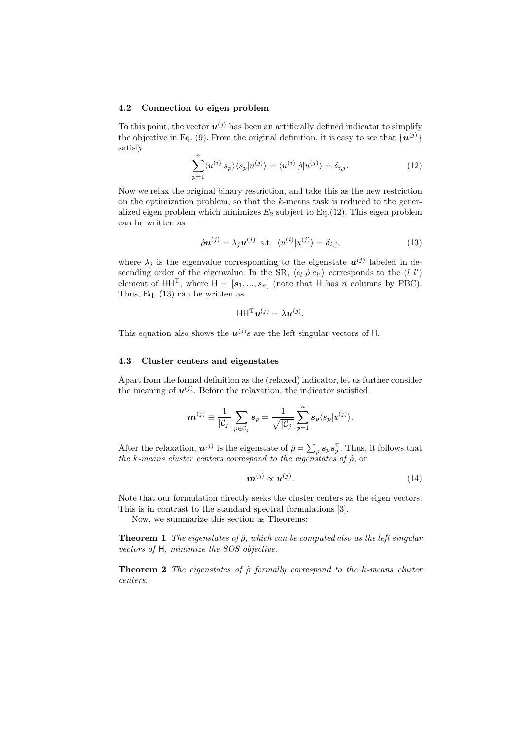#### 4.2 Connection to eigen problem

To this point, the vector  $u^{(j)}$  has been an artificially defined indicator to simplify the objective in Eq. (9). From the original definition, it is easy to see that  $\{u^{(j)}\}$ satisfy

$$
\sum_{p=1}^{n} \langle u^{(i)} | s_p \rangle \langle s_p | u^{(j)} \rangle = \langle u^{(i)} | \hat{\rho} | u^{(j)} \rangle = \delta_{i,j}.
$$
 (12)

Now we relax the original binary restriction, and take this as the new restriction on the optimization problem, so that the  $k$ -means task is reduced to the generalized eigen problem which minimizes  $E_2$  subject to Eq.(12). This eigen problem can be written as

$$
\hat{\rho} \mathbf{u}^{(j)} = \lambda_j \mathbf{u}^{(j)} \text{ s.t. } \langle u^{(i)} | u^{(j)} \rangle = \delta_{i,j}, \tag{13}
$$

where  $\lambda_j$  is the eigenvalue corresponding to the eigenstate  $\mathbf{u}^{(j)}$  labeled in descending order of the eigenvalue. In the SR,  $\langle e_l | \hat{\rho} | e_{l'} \rangle$  corresponds to the  $(l, l')$ element of HH<sup>T</sup>, where  $H = [\mathbf{s}_1, ..., \mathbf{s}_n]$  (note that H has n columns by PBC). Thus, Eq. (13) can be written as

$$
\mathsf{HH}^{\mathrm{T}}\boldsymbol{u}^{(j)}=\lambda\boldsymbol{u}^{(j)}.
$$

This equation also shows the  $u^{(j)}$ s are the left singular vectors of H.

### 4.3 Cluster centers and eigenstates

Apart from the formal definition as the (relaxed) indicator, let us further consider the meaning of  $u^{(j)}$ . Before the relaxation, the indicator satisfied

$$
\boldsymbol{m}^{(j)}\equiv\frac{1}{|\mathcal{C}_j|}\sum_{p\in\mathcal{C}_j}\boldsymbol{s}_p=\frac{1}{\sqrt{|\mathcal{C}_j|}}\sum_{p=1}^n\boldsymbol{s}_p\langle s_p|u^{(j)}\rangle.
$$

After the relaxation,  $u^{(j)}$  is the eigenstate of  $\hat{\rho} = \sum$  $_p s_p s_p^{\mathrm{T}}$ . Thus, it follows that the k-means cluster centers correspond to the eigenstates of  $\hat{\rho}$ , or

$$
\mathbf{m}^{(j)} \propto \mathbf{u}^{(j)}.\tag{14}
$$

Note that our formulation directly seeks the cluster centers as the eigen vectors. This is in contrast to the standard spectral formulations [3].

Now, we summarize this section as Theorems:

**Theorem 1** The eigenstates of  $\hat{\rho}$ , which can be computed also as the left singular vectors of H, minimize the SOS objective.

**Theorem 2** The eigenstates of  $\hat{\rho}$  formally correspond to the k-means cluster centers.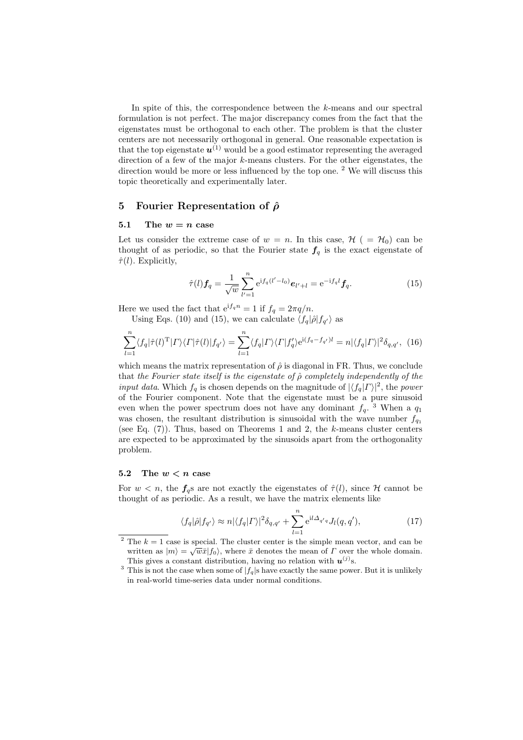In spite of this, the correspondence between the k-means and our spectral formulation is not perfect. The major discrepancy comes from the fact that the eigenstates must be orthogonal to each other. The problem is that the cluster centers are not necessarily orthogonal in general. One reasonable expectation is that the top eigenstate  $u^{(1)}$  would be a good estimator representing the averaged direction of a few of the major k-means clusters. For the other eigenstates, the direction would be more or less influenced by the top one. <sup>2</sup> We will discuss this topic theoretically and experimentally later.

# 5 Fourier Representation of  $\hat{\rho}$

# 5.1 The  $w = n$  case

Let us consider the extreme case of  $w = n$ . In this case,  $\mathcal{H}$  ( =  $\mathcal{H}_0$ ) can be thought of as periodic, so that the Fourier state  $f_q$  is the exact eigenstate of  $\hat{\tau}(l)$ . Explicitly,

$$
\hat{\tau}(l)\mathbf{f}_q = \frac{1}{\sqrt{w}} \sum_{l'=1}^n e^{if_q(l'-l_0)} \mathbf{e}_{l'+l} = e^{-if_q l} \mathbf{f}_q.
$$
\n(15)

Here we used the fact that  $e^{if_q n} = 1$  if  $f_q = 2\pi q/n$ .

Using Eqs. (10) and (15), we can calculate  $\langle f_q | \hat{\rho} | f_{q'} \rangle$  as

$$
\sum_{l=1}^{n} \langle f_q | \hat{\tau}(l)^{\mathrm{T}} | \Gamma \rangle \langle \Gamma | \hat{\tau}(l) | f_{q'} \rangle = \sum_{l=1}^{n} \langle f_q | \Gamma \rangle \langle \Gamma | f'_q \rangle e^{\mathrm{i} (f_q - f_{q'})l} = n |\langle f_q | \Gamma \rangle|^2 \delta_{q,q'}, \tag{16}
$$

which means the matrix representation of  $\hat{\rho}$  is diagonal in FR. Thus, we conclude that the Fourier state itself is the eigenstate of  $\hat{\rho}$  completely independently of the *input data*. Which  $f_q$  is chosen depends on the magnitude of  $|\langle f_q | \Gamma \rangle|^2$ , the power of the Fourier component. Note that the eigenstate must be a pure sinusoid even when the power spectrum does not have any dominant  $f_q$ .<sup>3</sup> When a  $q_1$ was chosen, the resultant distribution is sinusoidal with the wave number  $f_{q_1}$ (see Eq.  $(7)$ ). Thus, based on Theorems 1 and 2, the k-means cluster centers are expected to be approximated by the sinusoids apart from the orthogonality problem.

### 5.2 The  $w < n$  case

For  $w < n$ , the  $f_{\alpha}$ s are not exactly the eigenstates of  $\hat{\tau}(l)$ , since H cannot be thought of as periodic. As a result, we have the matrix elements like

$$
\langle f_q | \hat{\rho} | f_{q'} \rangle \approx n |\langle f_q | \Gamma \rangle|^2 \delta_{q,q'} + \sum_{l=1}^n e^{il \Delta_{q'q}} J_l(q,q'), \qquad (17)
$$

<sup>&</sup>lt;sup>2</sup> The  $k = 1$  case is special. The cluster center is the simple mean vector, and can be written as  $|m\rangle = \sqrt{w}\bar{x}|f_0\rangle$ , where  $\bar{x}$  denotes the mean of  $\Gamma$  over the whole domain. This gives a constant distribution, having no relation with  $u^{(j)}$ s.

<sup>&</sup>lt;sup>3</sup> This is not the case when some of  $|f_q|$ s have exactly the same power. But it is unlikely in real-world time-series data under normal conditions.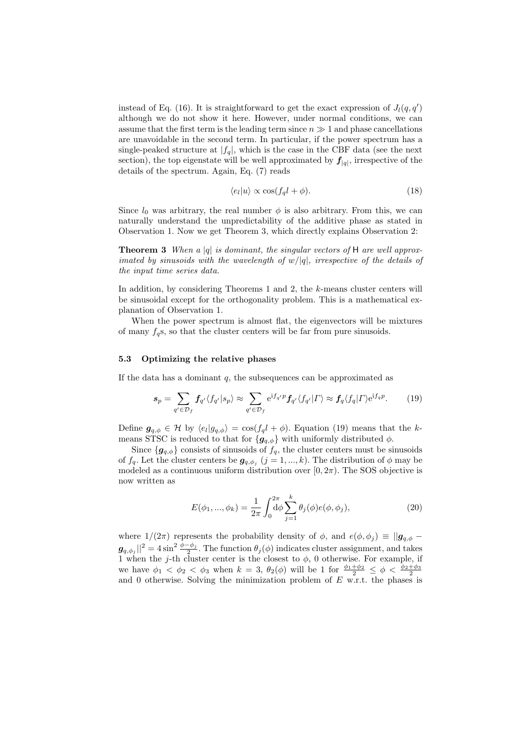instead of Eq. (16). It is straightforward to get the exact expression of  $J_l(q, q')$ although we do not show it here. However, under normal conditions, we can assume that the first term is the leading term since  $n \gg 1$  and phase cancellations are unavoidable in the second term. In particular, if the power spectrum has a single-peaked structure at  $|f_q|$ , which is the case in the CBF data (see the next section), the top eigenstate will be well approximated by  $f_{|q|}$ , irrespective of the details of the spectrum. Again, Eq. (7) reads

$$
\langle e_l | u \rangle \propto \cos(f_q l + \phi). \tag{18}
$$

Since  $l_0$  was arbitrary, the real number  $\phi$  is also arbitrary. From this, we can naturally understand the unpredictability of the additive phase as stated in Observation 1. Now we get Theorem 3, which directly explains Observation 2:

**Theorem 3** When a |q| is dominant, the singular vectors of H are well approximated by sinusoids with the wavelength of  $w/|q|$ , irrespective of the details of the input time series data.

In addition, by considering Theorems 1 and 2, the k-means cluster centers will be sinusoidal except for the orthogonality problem. This is a mathematical explanation of Observation 1.

When the power spectrum is almost flat, the eigenvectors will be mixtures of many  $f_q$ s, so that the cluster centers will be far from pure sinusoids.

### 5.3 Optimizing the relative phases

If the data has a dominant  $q$ , the subsequences can be approximated as

$$
\mathbf{s}_p = \sum_{q' \in \mathcal{D}_f} \mathbf{f}_{q'} \langle f_{q'} | s_p \rangle \approx \sum_{q' \in \mathcal{D}_f} e^{i f_{q'} p} \mathbf{f}_{q'} \langle f_{q'} | \Gamma \rangle \approx \mathbf{f}_q \langle f_q | \Gamma \rangle e^{i f_q p}.
$$
 (19)

Define  $g_{q,\phi} \in \mathcal{H}$  by  $\langle e_l | g_{q,\phi} \rangle = \cos(f_q l + \phi)$ . Equation (19) means that the kmeans STSC is reduced to that for  ${g_{q,\phi}}$  with uniformly distributed  $\phi$ .

Since  ${g_{q,\phi}}$  consists of sinusoids of  $f_q$ , the cluster centers must be sinusoids of  $f_q$ . Let the cluster centers be  $g_{q,\phi_j}$   $(j = 1, ..., k)$ . The distribution of  $\phi$  may be modeled as a continuous uniform distribution over  $[0, 2\pi)$ . The SOS objective is now written as

$$
E(\phi_1, ..., \phi_k) = \frac{1}{2\pi} \int_0^{2\pi} d\phi \sum_{j=1}^k \theta_j(\phi) e(\phi, \phi_j),
$$
 (20)

where  $1/(2\pi)$  represents the probability density of  $\phi$ , and  $e(\phi, \phi_i) \equiv ||\mathbf{g}_{q,\phi} - \mathbf{g}_{n,\phi}||$  $g_{q,\phi_j}$ ||<sup>2</sup> = 4 sin<sup>2</sup>  $\frac{\phi-\phi_j}{2}$ . The function  $\theta_j(\phi)$  indicates cluster assignment, and takes 1 when the j-th cluster center is the closest to  $\phi$ , 0 otherwise. For example, if we have  $\phi_1 < \phi_2 < \phi_3$  when  $k = 3$ ,  $\theta_2(\phi)$  will be 1 for  $\frac{\phi_1 + \phi_2}{2} \leq \phi < \frac{\phi_2 + \phi_3}{2}$ and 0 otherwise. Solving the minimization problem of  $E$  w.r.t. the phases is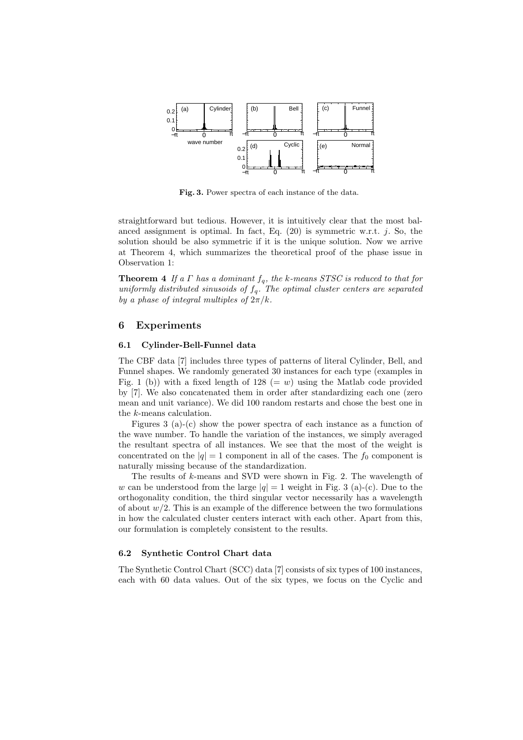

Fig. 3. Power spectra of each instance of the data.

straightforward but tedious. However, it is intuitively clear that the most balanced assignment is optimal. In fact, Eq.  $(20)$  is symmetric w.r.t. *j*. So, the solution should be also symmetric if it is the unique solution. Now we arrive at Theorem 4, which summarizes the theoretical proof of the phase issue in Observation 1:

**Theorem 4** If a  $\Gamma$  has a dominant  $f_q$ , the k-means STSC is reduced to that for uniformly distributed sinusoids of  $f_q$ . The optimal cluster centers are separated by a phase of integral multiples of  $2\pi/k$ .

### 6 Experiments

#### 6.1 Cylinder-Bell-Funnel data

The CBF data [7] includes three types of patterns of literal Cylinder, Bell, and Funnel shapes. We randomly generated 30 instances for each type (examples in Fig. 1 (b)) with a fixed length of 128 (= w) using the Matlab code provided by [7]. We also concatenated them in order after standardizing each one (zero mean and unit variance). We did 100 random restarts and chose the best one in the k-means calculation.

Figures 3 (a)-(c) show the power spectra of each instance as a function of the wave number. To handle the variation of the instances, we simply averaged the resultant spectra of all instances. We see that the most of the weight is concentrated on the  $|q| = 1$  component in all of the cases. The  $f_0$  component is naturally missing because of the standardization.

The results of k-means and SVD were shown in Fig. 2. The wavelength of w can be understood from the large  $|q|=1$  weight in Fig. 3 (a)-(c). Due to the orthogonality condition, the third singular vector necessarily has a wavelength of about  $w/2$ . This is an example of the difference between the two formulations in how the calculated cluster centers interact with each other. Apart from this, our formulation is completely consistent to the results.

### 6.2 Synthetic Control Chart data

The Synthetic Control Chart (SCC) data [7] consists of six types of 100 instances, each with 60 data values. Out of the six types, we focus on the Cyclic and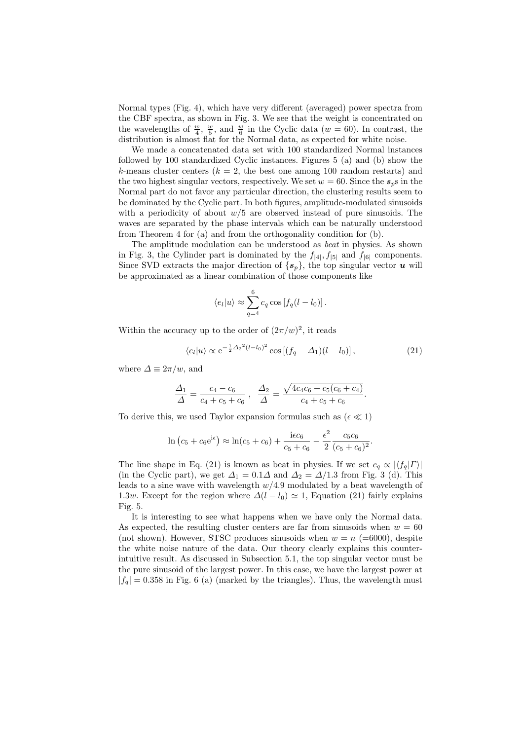Normal types (Fig. 4), which have very different (averaged) power spectra from the CBF spectra, as shown in Fig. 3. We see that the weight is concentrated on the wavelengths of  $\frac{w}{4}$ ,  $\frac{w}{5}$ , and  $\frac{w}{6}$  in the Cyclic data ( $w = 60$ ). In contrast, the distribution is almost flat for the Normal data, as expected for white noise.

We made a concatenated data set with 100 standardized Normal instances followed by 100 standardized Cyclic instances. Figures 5 (a) and (b) show the k-means cluster centers  $(k = 2,$  the best one among 100 random restarts) and the two highest singular vectors, respectively. We set  $w = 60$ . Since the  $s_p$ s in the Normal part do not favor any particular direction, the clustering results seem to be dominated by the Cyclic part. In both figures, amplitude-modulated sinusoids with a periodicity of about  $w/5$  are observed instead of pure sinusoids. The waves are separated by the phase intervals which can be naturally understood from Theorem 4 for (a) and from the orthogonality condition for (b).

The amplitude modulation can be understood as beat in physics. As shown in Fig. 3, the Cylinder part is dominated by the  $f_{|4|}$ ,  $f_{|5|}$  and  $f_{|6|}$  components. Since SVD extracts the major direction of  $\{s_p\}$ , the top singular vector u will be approximated as a linear combination of those components like

$$
\langle e_l | u \rangle \approx \sum_{q=4}^{6} c_q \cos \left[ f_q (l - l_0) \right].
$$

Within the accuracy up to the order of  $(2\pi/w)^2$ , it reads

$$
\langle e_l | u \rangle \propto e^{-\frac{1}{2}\Delta_2^2 (l-l_0)^2} \cos \left[ (f_q - \Delta_1)(l-l_0) \right],
$$
 (21)

.

where  $\Delta \equiv 2\pi/w$ , and

$$
\frac{\Delta_1}{\Delta} = \frac{c_4 - c_6}{c_4 + c_5 + c_6}, \quad \frac{\Delta_2}{\Delta} = \frac{\sqrt{4c_4c_6 + c_5(c_6 + c_4)}}{c_4 + c_5 + c_6}
$$

To derive this, we used Taylor expansion formulas such as  $(\epsilon \ll 1)$ 

$$
\ln (c_5 + c_6 e^{i\epsilon}) \approx \ln(c_5 + c_6) + \frac{i\epsilon c_6}{c_5 + c_6} - \frac{\epsilon^2}{2} \frac{c_5 c_6}{(c_5 + c_6)^2}.
$$

The line shape in Eq. (21) is known as beat in physics. If we set  $c_q \propto |\langle f_q| \Gamma \rangle|$ (in the Cyclic part), we get  $\Delta_1 = 0.1\Delta$  and  $\Delta_2 = \Delta/1.3$  from Fig. 3 (d). This leads to a sine wave with wavelength  $w/4.9$  modulated by a beat wavelength of 1.3w. Except for the region where  $\Delta(l - l_0) \simeq 1$ , Equation (21) fairly explains Fig. 5.

It is interesting to see what happens when we have only the Normal data. As expected, the resulting cluster centers are far from sinusoids when  $w = 60$ (not shown). However, STSC produces sinusoids when  $w = n$  (=6000), despite the white noise nature of the data. Our theory clearly explains this counterintuitive result. As discussed in Subsection 5.1, the top singular vector must be the pure sinusoid of the largest power. In this case, we have the largest power at  $|f_q| = 0.358$  in Fig. 6 (a) (marked by the triangles). Thus, the wavelength must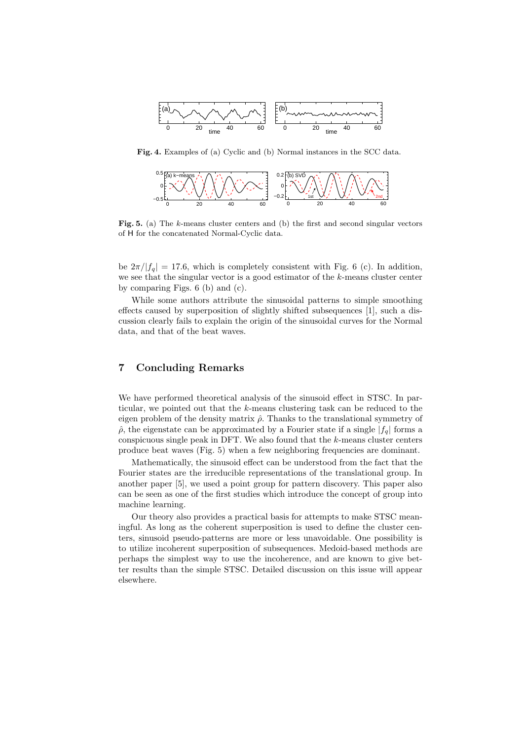

Fig. 4. Examples of (a) Cyclic and (b) Normal instances in the SCC data.



Fig. 5. (a) The k-means cluster centers and (b) the first and second singular vectors of H for the concatenated Normal-Cyclic data.

be  $2\pi/|f_q| = 17.6$ , which is completely consistent with Fig. 6 (c). In addition, we see that the singular vector is a good estimator of the k-means cluster center by comparing Figs. 6 (b) and (c).

While some authors attribute the sinusoidal patterns to simple smoothing effects caused by superposition of slightly shifted subsequences [1], such a discussion clearly fails to explain the origin of the sinusoidal curves for the Normal data, and that of the beat waves.

## 7 Concluding Remarks

We have performed theoretical analysis of the sinusoid effect in STSC. In particular, we pointed out that the k-means clustering task can be reduced to the eigen problem of the density matrix  $\hat{\rho}$ . Thanks to the translational symmetry of  $\hat{\rho}$ , the eigenstate can be approximated by a Fourier state if a single  $|f_a|$  forms a conspicuous single peak in DFT. We also found that the  $k$ -means cluster centers produce beat waves (Fig. 5) when a few neighboring frequencies are dominant.

Mathematically, the sinusoid effect can be understood from the fact that the Fourier states are the irreducible representations of the translational group. In another paper [5], we used a point group for pattern discovery. This paper also can be seen as one of the first studies which introduce the concept of group into machine learning.

Our theory also provides a practical basis for attempts to make STSC meaningful. As long as the coherent superposition is used to define the cluster centers, sinusoid pseudo-patterns are more or less unavoidable. One possibility is to utilize incoherent superposition of subsequences. Medoid-based methods are perhaps the simplest way to use the incoherence, and are known to give better results than the simple STSC. Detailed discussion on this issue will appear elsewhere.